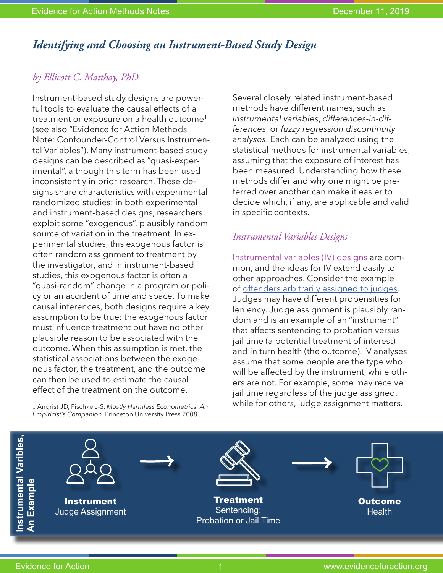## *Identifying and Choosing an Instrument-Based Study Design*

## *by Ellicott C. Matthay, PhD*

Instrument-based study designs are powerful tools to evaluate the causal effects of a treatment or exposure on a health outcome<sup>1</sup> (see also "Evidence for Action Methods Note: Confounder-Control Versus Instrumental Variables"). Many instrument-based study designs can be described as "quasi-experimental", although this term has been used inconsistently in prior research. These designs share characteristics with experimental randomized studies: in both experimental and instrument-based designs, researchers exploit some "exogenous", plausibly random source of variation in the treatment. In experimental studies, this exogenous factor is often random assignment to treatment by the investigator, and in instrument-based studies, this exogenous factor is often a "quasi-random" change in a program or policy or an accident of time and space. To make causal inferences, both designs require a key assumption to be true: the exogenous factor must influence treatment but have no other plausible reason to be associated with the outcome. When this assumption is met, the statistical associations between the exogenous factor, the treatment, and the outcome can then be used to estimate the causal effect of the treatment on the outcome.

1 Angrist JD, Pischke J-S. *Mostly Harmless Econometrics: An Empiricist's Companion*. Princeton University Press 2008.

Several closely related instrument-based methods have different names, such as *instrumental variables*, *differences-in-differences*, or *fuzzy regression discontinuity analyses*. Each can be analyzed using the statistical methods for instrumental variables, assuming that the exposure of interest has been measured. Understanding how these methods differ and why one might be preferred over another can make it easier to decide which, if any, are applicable and valid in specific contexts.

## *Instrumental Variables Designs*

Instrumental variables (IV) designs are common, and the ideas for IV extend easily to other approaches. Consider the example of [offenders arbitrarily assigned to judges.](https://www.evidenceforaction.org/intergenerational-effects-criminal-justice-system-children%E2%80%99s-health) Judges may have different propensities for leniency. Judge assignment is plausibly random and is an example of an "instrument" that affects sentencing to probation versus jail time (a potential treatment of interest) and in turn health (the outcome). IV analyses assume that some people are the type who will be affected by the instrument, while others are not. For example, some may receive jail time regardless of the judge assigned, while for others, judge assignment matters.

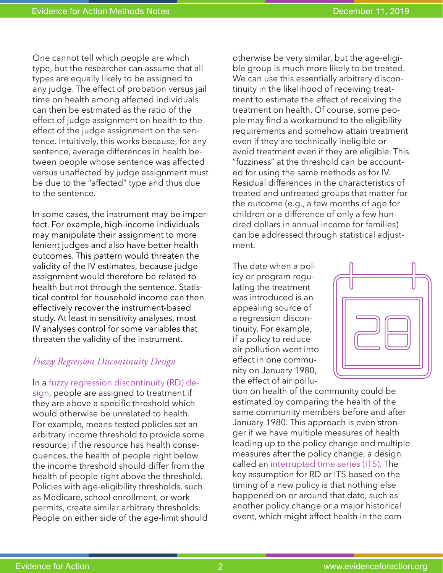One cannot tell which people are which type, but the researcher can assume that all types are equally likely to be assigned to any judge. The effect of probation versus jail time on health among affected individuals can then be estimated as the ratio of the effect of judge assignment on health to the effect of the judge assignment on the sentence. Intuitively, this works because, for any sentence, average differences in health between people whose sentence was affected versus unaffected by judge assignment must be due to the "affected" type and thus due to the sentence.

In some cases, the instrument may be imperfect. For example, high-income individuals may manipulate their assignment to more lenient judges and also have better health outcomes. This pattern would threaten the validity of the IV estimates, because judge assignment would therefore be related to health but not through the sentence. Statistical control for household income can then effectively recover the instrument-based study. At least in sensitivity analyses, most IV analyses control for some variables that threaten the validity of the instrument.

## *Fuzzy Regression Discontinuity Design*

In a fuzzy regression discontinuity (RD) design, people are assigned to treatment if they are above a specific threshold which would otherwise be unrelated to health. For example, means-tested policies set an arbitrary income threshold to provide some resource; if the resource has health consequences, the health of people right below the income threshold should differ from the health of people right above the threshold. Policies with age-eligibility thresholds, such as Medicare, school enrollment, or work permits, create similar arbitrary thresholds. People on either side of the age-limit should otherwise be very similar, but the age-eligible group is much more likely to be treated. We can use this essentially arbitrary discontinuity in the likelihood of receiving treatment to estimate the effect of receiving the treatment on health. Of course, some people may find a workaround to the eligibility requirements and somehow attain treatment even if they are technically ineligible or avoid treatment even if they are eligible. This "fuzziness" at the threshold can be accounted for using the same methods as for IV. Residual differences in the characteristics of treated and untreated groups that matter for the outcome (e.g., a few months of age for children or a difference of only a few hundred dollars in annual income for families) can be addressed through statistical adjustment.

The date when a policy or program regulating the treatment was introduced is an appealing source of a regression discontinuity. For example, if a policy to reduce air pollution went into effect in one community on January 1980, the effect of air pollu-



tion on health of the community could be estimated by comparing the health of the same community members before and after January 1980. This approach is even stronger if we have multiple measures of health leading up to the policy change and multiple measures after the policy change, a design called an interrupted time series (ITS). The key assumption for RD or ITS based on the timing of a new policy is that nothing else happened on or around that date, such as another policy change or a major historical event, which might affect health in the com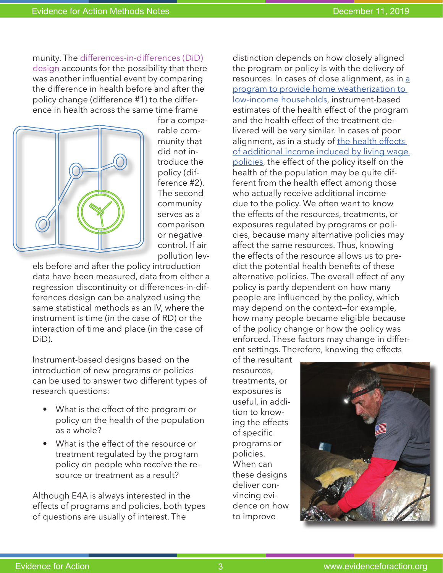munity. The differences-in-differences (DiD) design accounts for the possibility that there was another influential event by comparing the difference in health before and after the policy change (difference #1) to the difference in health across the same time frame



for a comparable community that did not introduce the policy (difference #2). The second community serves as a comparison or negative control. If air pollution lev-

els before and after the policy introduction data have been measured, data from either a regression discontinuity or differences-in-differences design can be analyzed using the same statistical methods as an IV, where the instrument is time (in the case of RD) or the interaction of time and place (in the case of DiD).

Instrument-based designs based on the introduction of new programs or policies can be used to answer two different types of research questions:

- What is the effect of the program or policy on the health of the population as a whole?
- What is the effect of the resource or treatment regulated by the program policy on people who receive the resource or treatment as a result?

Although E4A is always interested in the effects of programs and policies, both types of questions are usually of interest. The

distinction depends on how closely aligned the program or policy is with the delivery of resources. In cases of close alignment, as in a [program to provide home weatherization to](https://www.evidenceforaction.org/health-benefits-low-income-weatherization-evidence-action)  [low-income households](https://www.evidenceforaction.org/health-benefits-low-income-weatherization-evidence-action), instrument-based estimates of the health effect of the program and the health effect of the treatment delivered will be very similar. In cases of poor alignment, as in a study of the health effects [of additional income induced by living wage](https://www.evidenceforaction.org/health-living-wage-evidence-natural-experiments)  [policies,](https://www.evidenceforaction.org/health-living-wage-evidence-natural-experiments) the effect of the policy itself on the health of the population may be quite different from the health effect among those who actually receive additional income due to the policy. We often want to know the effects of the resources, treatments, or exposures regulated by programs or policies, because many alternative policies may affect the same resources. Thus, knowing the effects of the resource allows us to predict the potential health benefits of these alternative policies. The overall effect of any policy is partly dependent on how many people are influenced by the policy, which may depend on the context—for example, how many people became eligible because of the policy change or how the policy was enforced. These factors may change in different settings. Therefore, knowing the effects

of the resultant resources, treatments, or exposures is useful, in addition to knowing the effects of specific programs or policies. When can these designs deliver convincing evidence on how to improve